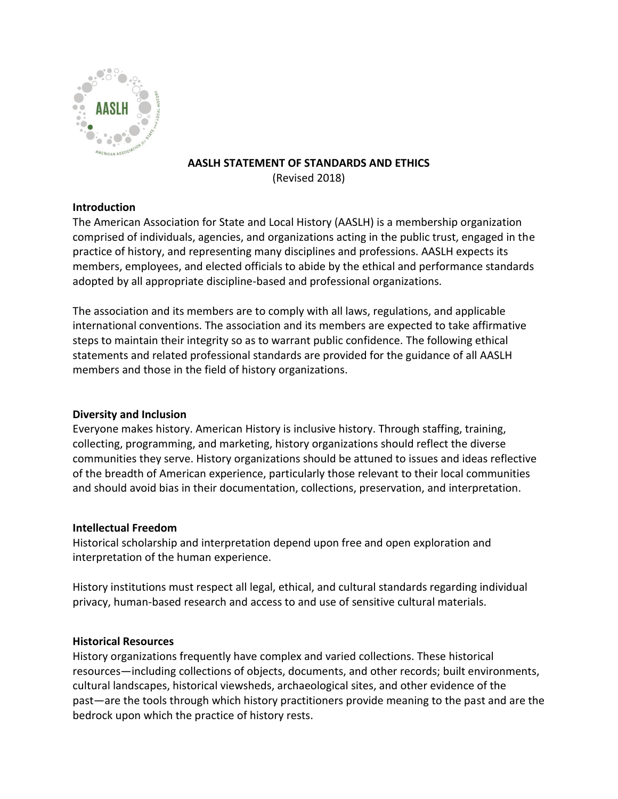

# **AASLH STATEMENT OF STANDARDS AND ETHICS** (Revised 2018)

## **Introduction**

The American Association for State and Local History (AASLH) is a membership organization comprised of individuals, agencies, and organizations acting in the public trust, engaged in the practice of history, and representing many disciplines and professions. AASLH expects its members, employees, and elected officials to abide by the ethical and performance standards adopted by all appropriate discipline-based and professional organizations.

The association and its members are to comply with all laws, regulations, and applicable international conventions. The association and its members are expected to take affirmative steps to maintain their integrity so as to warrant public confidence. The following ethical statements and related professional standards are provided for the guidance of all AASLH members and those in the field of history organizations.

#### **Diversity and Inclusion**

Everyone makes history. American History is inclusive history. Through staffing, training, collecting, programming, and marketing, history organizations should reflect the diverse communities they serve. History organizations should be attuned to issues and ideas reflective of the breadth of American experience, particularly those relevant to their local communities and should avoid bias in their documentation, collections, preservation, and interpretation.

#### **Intellectual Freedom**

Historical scholarship and interpretation depend upon free and open exploration and interpretation of the human experience.

History institutions must respect all legal, ethical, and cultural standards regarding individual privacy, human-based research and access to and use of sensitive cultural materials.

#### **Historical Resources**

History organizations frequently have complex and varied collections. These historical resources―including collections of objects, documents, and other records; built environments, cultural landscapes, historical viewsheds, archaeological sites, and other evidence of the past―are the tools through which history practitioners provide meaning to the past and are the bedrock upon which the practice of history rests.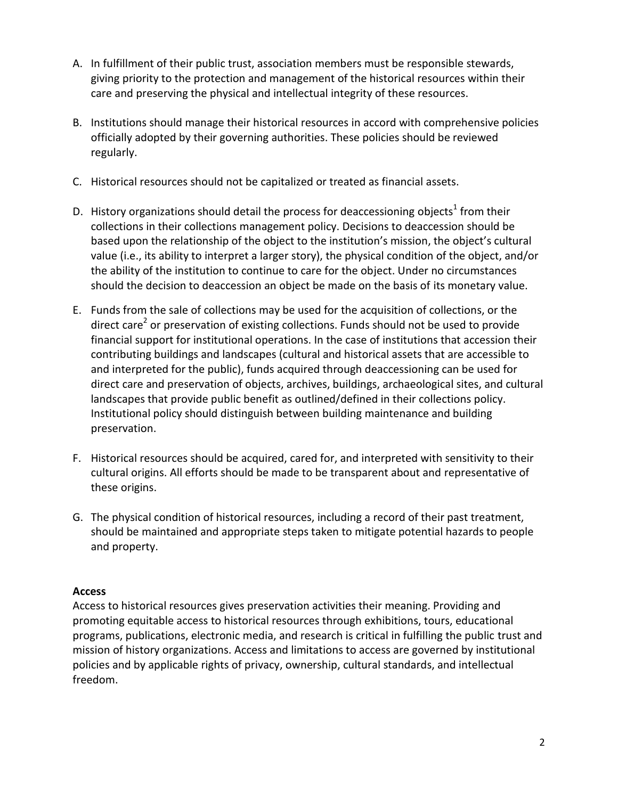- A. In fulfillment of their public trust, association members must be responsible stewards, giving priority to the protection and management of the historical resources within their care and preserving the physical and intellectual integrity of these resources.
- B. Institutions should manage their historical resources in accord with comprehensive policies officially adopted by their governing authorities. These policies should be reviewed regularly.
- C. Historical resources should not be capitalized or treated as financial assets.
- D. History organizations should detail the process for deaccessioning objects<sup>1</sup> from their collections in their collections management policy. Decisions to deaccession should be based upon the relationship of the object to the institution's mission, the object's cultural value (i.e., its ability to interpret a larger story), the physical condition of the object, and/or the ability of the institution to continue to care for the object. Under no circumstances should the decision to deaccession an object be made on the basis of its monetary value.
- E. Funds from the sale of collections may be used for the acquisition of collections, or the direct care<sup>2</sup> or preservation of existing collections. Funds should not be used to provide financial support for institutional operations. In the case of institutions that accession their contributing buildings and landscapes (cultural and historical assets that are accessible to and interpreted for the public), funds acquired through deaccessioning can be used for direct care and preservation of objects, archives, buildings, archaeological sites, and cultural landscapes that provide public benefit as outlined/defined in their collections policy. Institutional policy should distinguish between building maintenance and building preservation.
- F. Historical resources should be acquired, cared for, and interpreted with sensitivity to their cultural origins. All efforts should be made to be transparent about and representative of these origins.
- G. The physical condition of historical resources, including a record of their past treatment, should be maintained and appropriate steps taken to mitigate potential hazards to people and property.

#### **Access**

Access to historical resources gives preservation activities their meaning. Providing and promoting equitable access to historical resources through exhibitions, tours, educational programs, publications, electronic media, and research is critical in fulfilling the public trust and mission of history organizations. Access and limitations to access are governed by institutional policies and by applicable rights of privacy, ownership, cultural standards, and intellectual freedom.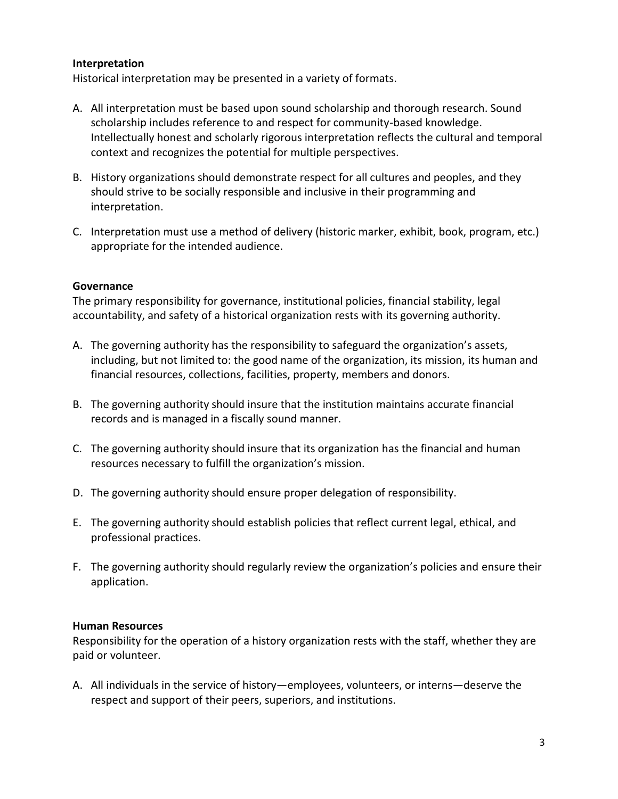#### **Interpretation**

Historical interpretation may be presented in a variety of formats.

- A. All interpretation must be based upon sound scholarship and thorough research. Sound scholarship includes reference to and respect for community-based knowledge. Intellectually honest and scholarly rigorous interpretation reflects the cultural and temporal context and recognizes the potential for multiple perspectives.
- B. History organizations should demonstrate respect for all cultures and peoples, and they should strive to be socially responsible and inclusive in their programming and interpretation.
- C. Interpretation must use a method of delivery (historic marker, exhibit, book, program, etc.) appropriate for the intended audience.

#### **Governance**

The primary responsibility for governance, institutional policies, financial stability, legal accountability, and safety of a historical organization rests with its governing authority.

- A. The governing authority has the responsibility to safeguard the organization's assets, including, but not limited to: the good name of the organization, its mission, its human and financial resources, collections, facilities, property, members and donors.
- B. The governing authority should insure that the institution maintains accurate financial records and is managed in a fiscally sound manner.
- C. The governing authority should insure that its organization has the financial and human resources necessary to fulfill the organization's mission.
- D. The governing authority should ensure proper delegation of responsibility.
- E. The governing authority should establish policies that reflect current legal, ethical, and professional practices.
- F. The governing authority should regularly review the organization's policies and ensure their application.

#### **Human Resources**

Responsibility for the operation of a history organization rests with the staff, whether they are paid or volunteer.

A. All individuals in the service of history―employees, volunteers, or interns―deserve the respect and support of their peers, superiors, and institutions.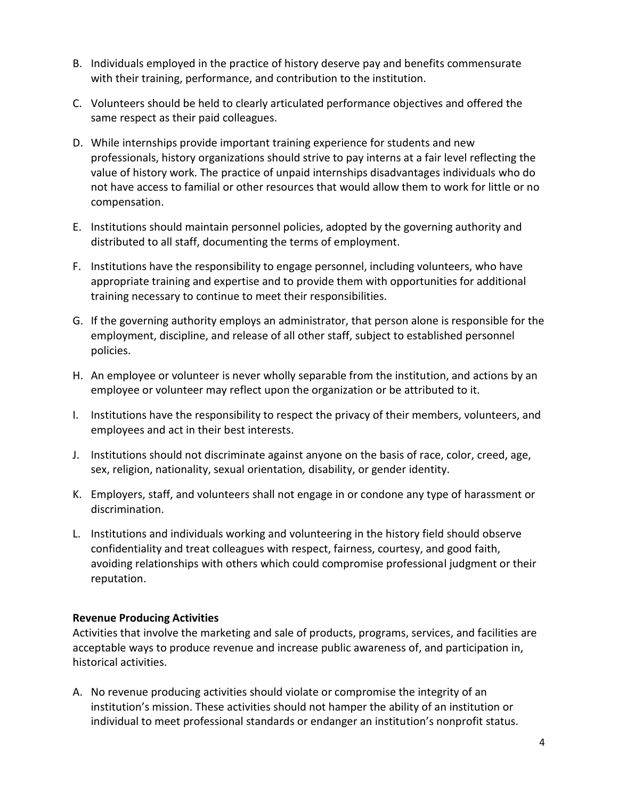- B. Individuals employed in the practice of history deserve pay and benefits commensurate with their training, performance, and contribution to the institution.
- C. Volunteers should be held to clearly articulated performance objectives and offered the same respect as their paid colleagues.
- D. While internships provide important training experience for students and new professionals, history organizations should strive to pay interns at a fair level reflecting the value of history work. The practice of unpaid internships disadvantages individuals who do not have access to familial or other resources that would allow them to work for little or no compensation.
- E. Institutions should maintain personnel policies, adopted by the governing authority and distributed to all staff, documenting the terms of employment.
- F. Institutions have the responsibility to engage personnel, including volunteers, who have appropriate training and expertise and to provide them with opportunities for additional training necessary to continue to meet their responsibilities.
- G. If the governing authority employs an administrator, that person alone is responsible for the employment, discipline, and release of all other staff, subject to established personnel policies.
- H. An employee or volunteer is never wholly separable from the institution, and actions by an employee or volunteer may reflect upon the organization or be attributed to it.
- I. Institutions have the responsibility to respect the privacy of their members, volunteers, and employees and act in their best interests.
- J. Institutions should not discriminate against anyone on the basis of race, color, creed, age, sex, religion, nationality, sexual orientation*,* disability, or gender identity.
- K. Employers, staff, and volunteers shall not engage in or condone any type of harassment or discrimination.
- L. Institutions and individuals working and volunteering in the history field should observe confidentiality and treat colleagues with respect, fairness, courtesy, and good faith, avoiding relationships with others which could compromise professional judgment or their reputation.

## **Revenue Producing Activities**

Activities that involve the marketing and sale of products, programs, services, and facilities are acceptable ways to produce revenue and increase public awareness of, and participation in, historical activities.

A. No revenue producing activities should violate or compromise the integrity of an institution's mission. These activities should not hamper the ability of an institution or individual to meet professional standards or endanger an institution's nonprofit status.